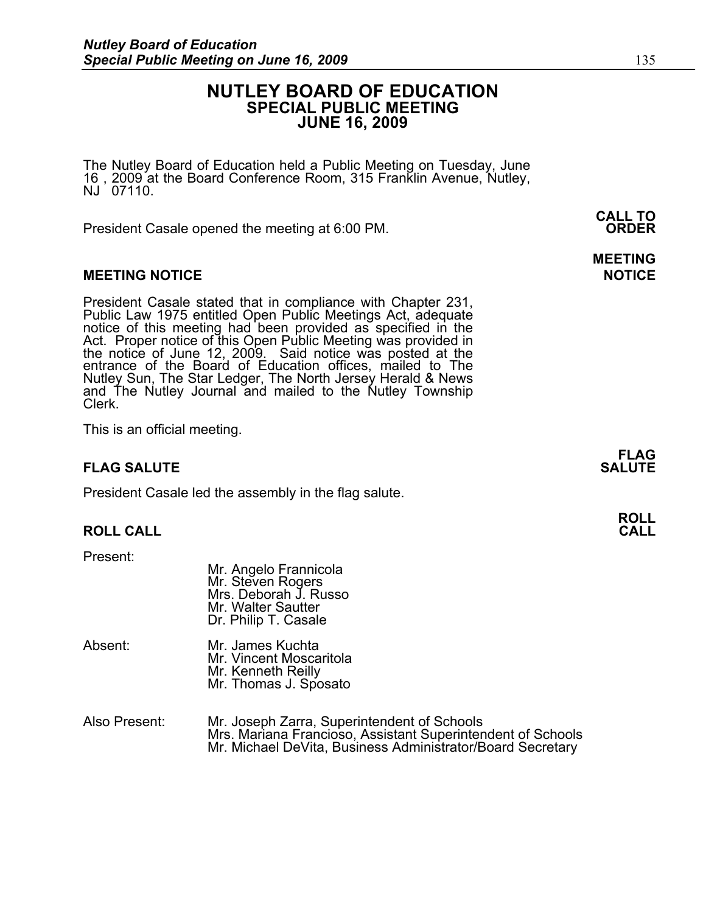# **NUTLEY BOARD OF EDUCATION SPECIAL PUBLIC MEETING JUNE 16, 2009**

**MEETING** 

The Nutley Board of Education held a Public Meeting on Tuesday, June 16 , 2009 at the Board Conference Room, 315 Franklin Avenue, Nutley, NJ 07110.

 **CALL TO**  President Casale opened the meeting at 6:00 PM. **ORDER**

## **MEETING NOTICE NOTICE REPORTS AND ALCOHOL**

President Casale stated that in compliance with Chapter 231, Public Law 1975 entitled Open Public Meetings Act, adequate notice of this meeting had been provided as specified in the Act. Proper notice of this Open Public Meeting was provided in the notice of June 12, 2009. Said notice was posted at the entrance of the Board of Education offices, mailed to The Nutley Sun, The Star Ledger, The North Jersey Herald & News and The Nutley Journal and mailed to the Nutley Township Clerk.

This is an official meeting.

# **FLAG SALUTE** SALUTE SALUTE SALUTE SALUTE SALUTE SALUTE SALUTE SALUTE SALUTE SALUTE SALUTE SALUTE SALUTE SALUTE SALUTE

President Casale led the assembly in the flag salute.

 Mr. Angelo Frannicola Mr. Steven Rogers

### **ROLL CALL**

Present:

|         | Mrs. Deborah J. Russo<br>Mr. Walter Sautter<br>Dr. Philip T. Casale                        |
|---------|--------------------------------------------------------------------------------------------|
| Absent: | Mr. James Kuchta<br>Mr. Vincent Moscaritola<br>Mr. Kenneth Reilly<br>Mr. Thomas J. Sposato |
|         |                                                                                            |

| Also Present: | Mr. Joseph Zarra, Superintendent of Schools                 |  |
|---------------|-------------------------------------------------------------|--|
|               | Mrs. Mariana Francioso, Assistant Superintendent of Schools |  |
|               | Mr. Michael DeVita, Business Administrator/Board Secretary  |  |

**FLAG** 

**ROLL**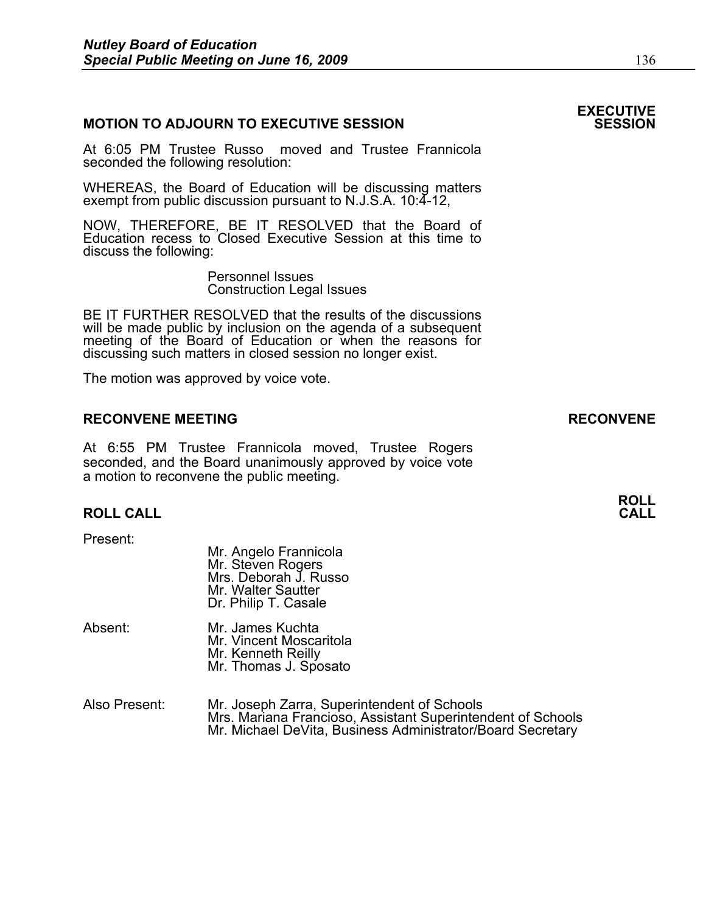### **MOTION TO ADJOURN TO EXECUTIVE SESSION**

At 6:05 PM Trustee Russo moved and Trustee Frannicola seconded the following resolution:

WHEREAS, the Board of Education will be discussing matters exempt from public discussion pursuant to N.J.S.A. 10:4-12,

NOW, THEREFORE, BE IT RESOLVED that the Board of Education recess to Closed Executive Session at this time to discuss the following:

> Personnel Issues Construction Legal Issues

BE IT FURTHER RESOLVED that the results of the discussions will be made public by inclusion on the agenda of a subsequent meeting of the Board of Education or when the reasons for discussing such matters in closed session no longer exist.

 The motion was approved by voice vote.

#### **RECONVENE MEETING RECONVENE**

At 6:55 PM Trustee Frannicola moved, Trustee Rogers seconded, and the Board unanimously approved by voice vote a motion to reconvene the public meeting.

#### **ROLL CALL**

Present:

- Mr. Angelo Frannicola Mr. Steven Rogers Mrs. Deborah J. Russo Mr. Walter Sautter Dr. Philip T. Casale
- Absent: Mr. James Kuchta Mr. Vincent Moscaritola Mr. Kenneth Reilly<br>Mr. Thomas J. Sposato
- Also Present: Mr. Joseph Zarra, Superintendent of Schools Mrs. Mariana Francioso, Assistant Superintendent of Schools Mr. Michael DeVita, Business Administrator/Board Secretary

# **EXECUTIVE**

**ROLL**